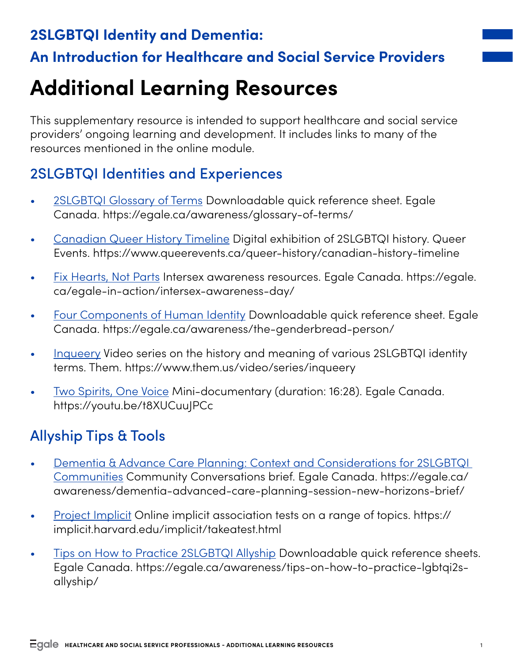## **2SLGBTQI Identity and Dementia: An Introduction for Healthcare and Social Service Providers**

# **Additional Learning Resources**

This supplementary resource is intended to support healthcare and social service providers' ongoing learning and development. It includes links to many of the resources mentioned in the online module.

#### 2SLGBTQI Identities and Experiences

- [2SLGBTQI Glossary of Terms](https://egale.ca/awareness/glossary-of-terms/) Downloadable quick reference sheet. Egale Canada. https://egale.ca/awareness/glossary-of-terms/
- [Canadian Queer History Timeline](https://www.queerevents.ca/queer-history/canadian-history-timeline) Digital exhibition of 2SLGBTQI history. Queer Events. https://www.queerevents.ca/queer-history/canadian-history-timeline
- [Fix Hearts, Not Parts](https://egale.ca/egale-in-action/intersex-awareness-day/) Intersex awareness resources. Egale Canada. https://egale. ca/egale-in-action/intersex-awareness-day/
- [Four Components of Human Identity](https://egale.ca/awareness/the-genderbread-person/) Downloadable quick reference sheet. Egale Canada. https://egale.ca/awareness/the-genderbread-person/
- [Inqueery](https://www.them.us/video/series/inqueery) Video series on the history and meaning of various 2SLGBTQI identity terms. Them. https://www.them.us/video/series/inqueery
- [Two Spirits, One Voice](https://youtu.be/t8XUCuuJPCc) Mini-documentary (duration: 16:28). Egale Canada. https://youtu.be/t8XUCuuJPCc

### Allyship Tips & Tools

- [Dementia & Advance Care Planning: Context and Considerations for 2SLGBTQI](https://egale.ca/awareness/dementia-advanced-care-planning-session-new-horizons-brief/)  [Communities](https://egale.ca/awareness/dementia-advanced-care-planning-session-new-horizons-brief/) Community Conversations brief. Egale Canada. https://egale.ca/ awareness/dementia-advanced-care-planning-session-new-horizons-brief/
- [Project Implicit](https://implicit.harvard.edu/implicit/takeatest.html) Online implicit association tests on a range of topics. https:// implicit.harvard.edu/implicit/takeatest.html
- [Tips on How to Practice 2SLGBTQI Allyship](https://egale.ca/awareness/tips-on-how-to-practice-lgbtqi2s-allyship/) Downloadable quick reference sheets. Egale Canada. https://egale.ca/awareness/tips-on-how-to-practice-lgbtqi2sallyship/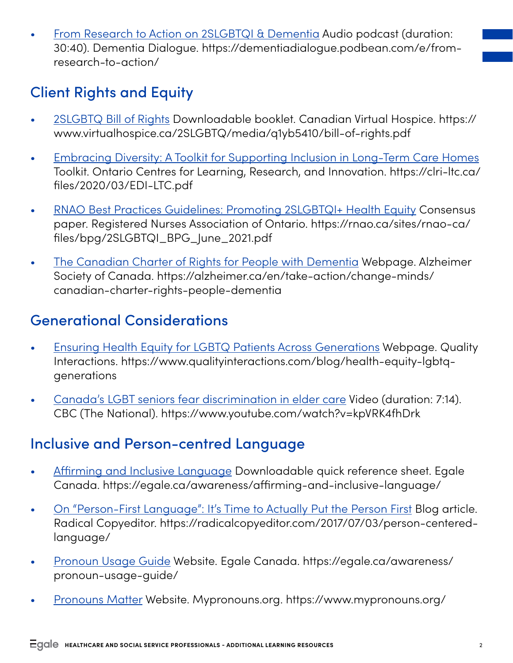• [From Research to Action on 2SLGBTQI & Dementia](https://dementiadialogue.podbean.com/e/from-research-to-action/) Audio podcast (duration: 30:40). Dementia Dialogue. https://dementiadialogue.podbean.com/e/fromresearch-to-action/

## Client Rights and Equity

- [2SLGBTQ Bill of Rights](https://www.virtualhospice.ca/2SLGBTQ/media/q1yb5410/bill-of-rights.pdf) Downloadable booklet. Canadian Virtual Hospice. https:// www.virtualhospice.ca/2SLGBTQ/media/q1yb5410/bill-of-rights.pdf
- [Embracing Diversity: A Toolkit for Supporting Inclusion in Long-Term Care Homes](https://clri-ltc.ca/files/2020/03/EDI-LTC.pdf) Toolkit. Ontario Centres for Learning, Research, and Innovation. https://clri-ltc.ca/ files/2020/03/EDI-LTC.pdf
- [RNAO Best Practices Guidelines: Promoting 2SLGBTQI+ Health Equity](https://rnao.ca/sites/rnao-ca/files/bpg/2SLGBTQI_BPG_June_2021.pdf) Consensus paper. Registered Nurses Association of Ontario. https://rnao.ca/sites/rnao-ca/ files/bpg/2SLGBTQI\_BPG\_June\_2021.pdf
- [The Canadian Charter of Rights for People with Dementia](https://alzheimer.ca/en/take-action/change-minds/canadian-charter-rights-people-dementia) Webpage. Alzheimer Society of Canada. https://alzheimer.ca/en/take-action/change-minds/ canadian-charter-rights-people-dementia

#### Generational Considerations

- [Ensuring Health Equity for LGBTQ Patients Across Generations](https://www.qualityinteractions.com/blog/health-equity-lgbtq-generations) Webpage. Quality Interactions. https://www.qualityinteractions.com/blog/health-equity-lgbtqgenerations
- [Canada's LGBT seniors fear discrimination in elder care](https://www.youtube.com/watch?v=kpVRK4fhDrk) Video (duration: 7:14). CBC (The National). https://www.youtube.com/watch?v=kpVRK4fhDrk

#### Inclusive and Person-centred Language

- [Affirming and Inclusive Language](https://egale.ca/awareness/affirming-and-inclusive-language/) Downloadable quick reference sheet. Egale Canada. https://egale.ca/awareness/affirming-and-inclusive-language/
- [On "Person-First Language": It's Time to Actually Put the Person First](https://radicalcopyeditor.com/2017/07/03/person-centered-language/) Blog article. Radical Copyeditor. https://radicalcopyeditor.com/2017/07/03/person-centeredlanguage/
- [Pronoun Usage Guide](https://egale.ca/awareness/pronoun-usage-guide/) Website. Egale Canada. [https://egale.ca/awareness/](https://egale.ca/awareness/pronoun-usage-guide/) [pronoun-usage-guide/](https://egale.ca/awareness/pronoun-usage-guide/)
- [Pronouns Matter](https://www.mypronouns.org/) Website. Mypronouns.org. https://www.mypronouns.org/